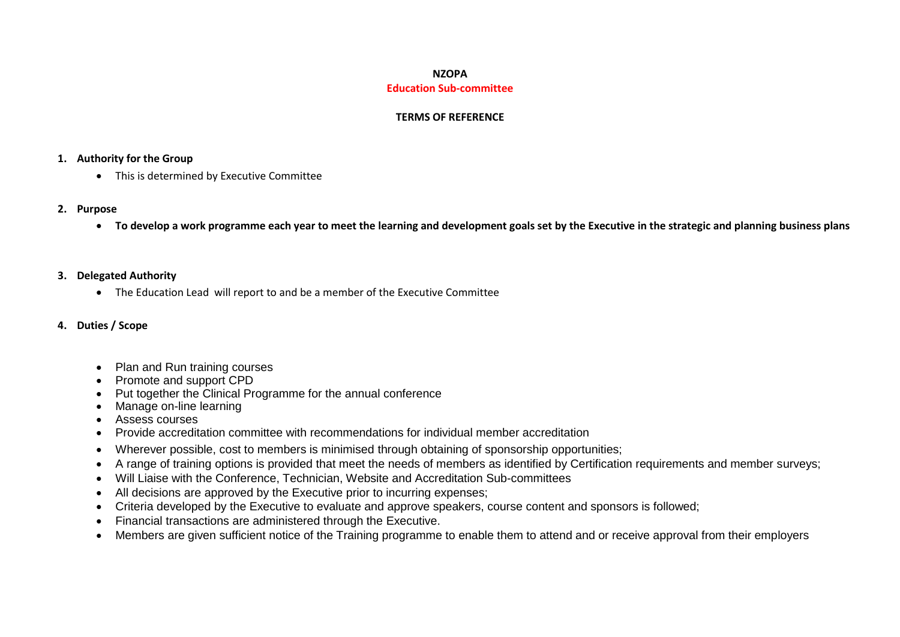# **NZOPA Education Sub-committee**

## **TERMS OF REFERENCE**

# **1. Authority for the Group**

• This is determined by Executive Committee

# **2. Purpose**

**To develop a work programme each year to meet the learning and development goals set by the Executive in the strategic and planning business plans**

# **3. Delegated Authority**

The Education Lead will report to and be a member of the Executive Committee

# **4. Duties / Scope**

- Plan and Run training courses
- Promote and support CPD
- Put together the Clinical Programme for the annual conference
- Manage on-line learning
- Assess courses
- Provide accreditation committee with recommendations for individual member accreditation
- Wherever possible, cost to members is minimised through obtaining of sponsorship opportunities;
- A range of training options is provided that meet the needs of members as identified by Certification requirements and member surveys;
- Will Liaise with the Conference, Technician, Website and Accreditation Sub-committees
- All decisions are approved by the Executive prior to incurring expenses;
- Criteria developed by the Executive to evaluate and approve speakers, course content and sponsors is followed;
- Financial transactions are administered through the Executive.
- Members are given sufficient notice of the Training programme to enable them to attend and or receive approval from their employers